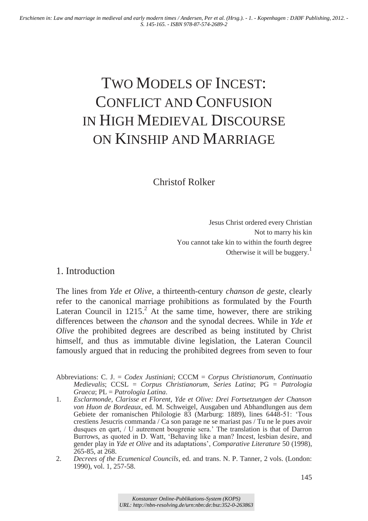# TWO MODELS OF INCEST: CONFLICT AND CONFUSION IN HIGH MEDIEVAL DISCOURSE ON KINSHIP AND MARRIAGE

Christof Rolker

Jesus Christ ordered every Christian Not to marry his kin You cannot take kin to within the fourth degree Otherwise it will be buggery.<sup>1</sup>

#### 1. Introduction

The lines from *Yde et Olive*, a thirteenth-century *chanson de geste*, clearly refer to the canonical marriage prohibitions as formulated by the Fourth Lateran Council in  $1215$ <sup>2</sup> At the same time, however, there are striking differences between the *chanson* and the synodal decrees. While in *Yde et Olive* the prohibited degrees are described as being instituted by Christ himself, and thus as immutable divine legislation, the Lateran Council famously argued that in reducing the prohibited degrees from seven to four

- Abbreviations: C. J. = *Codex Justiniani*; CCCM = *Corpus Christianorum, Continuatio Medievalis*; CCSL = *Corpus Christianorum, Series Latina*; PG = *Patrologia Graeca*; PL = *Patrologia Latina*.
- 1*. Esclarmonde, Clarisse et Florent, Yde et Olive: Drei Fortsetzungen der Chanson von Huon de Bordeaux*, ed. M. Schweigel, Ausgaben und Abhandlungen aus dem Gebiete der romanischen Philologie 83 (Marburg: 1889), lines 6448-51: 'Tous crestïens Jesucris commanda / Ca son parage ne se mariast pas / Tu ne le pues avoir dusques en qart, / U autrement bougrenie sera.' The translation is that of Darron Burrows, as quoted in D. Watt, 'Behaving like a man? Incest, lesbian desire, and gender play in *Yde et Olive* and its adaptations', *Comparative Literature* 50 (1998), 265-85, at 268.
- 2. *Decrees of the Ecumenical Councils*, ed. and trans. N. P. Tanner, 2 vols. (London: 1990), vol. 1, 257-58.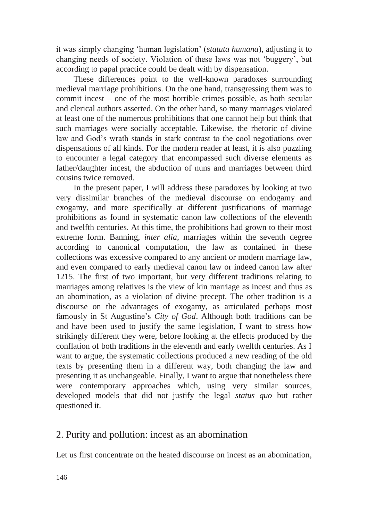it was simply changing 'human legislation' (*statuta humana*), adjusting it to changing needs of society. Violation of these laws was not 'buggery', but according to papal practice could be dealt with by dispensation.

 These differences point to the well-known paradoxes surrounding medieval marriage prohibitions. On the one hand, transgressing them was to commit incest – one of the most horrible crimes possible, as both secular and clerical authors asserted. On the other hand, so many marriages violated at least one of the numerous prohibitions that one cannot help but think that such marriages were socially acceptable. Likewise, the rhetoric of divine law and God's wrath stands in stark contrast to the cool negotiations over dispensations of all kinds. For the modern reader at least, it is also puzzling to encounter a legal category that encompassed such diverse elements as father/daughter incest, the abduction of nuns and marriages between third cousins twice removed.

 In the present paper, I will address these paradoxes by looking at two very dissimilar branches of the medieval discourse on endogamy and exogamy, and more specifically at different justifications of marriage prohibitions as found in systematic canon law collections of the eleventh and twelfth centuries. At this time, the prohibitions had grown to their most extreme form. Banning, *inter alia*, marriages within the seventh degree according to canonical computation, the law as contained in these collections was excessive compared to any ancient or modern marriage law, and even compared to early medieval canon law or indeed canon law after 1215. The first of two important, but very different traditions relating to marriages among relatives is the view of kin marriage as incest and thus as an abomination, as a violation of divine precept. The other tradition is a discourse on the advantages of exogamy, as articulated perhaps most famously in St Augustine's *City of God*. Although both traditions can be and have been used to justify the same legislation, I want to stress how strikingly different they were, before looking at the effects produced by the conflation of both traditions in the eleventh and early twelfth centuries. As I want to argue, the systematic collections produced a new reading of the old texts by presenting them in a different way, both changing the law and presenting it as unchangeable. Finally, I want to argue that nonetheless there were contemporary approaches which, using very similar sources, developed models that did not justify the legal *status quo* but rather questioned it.

# 2. Purity and pollution: incest as an abomination

Let us first concentrate on the heated discourse on incest as an abomination,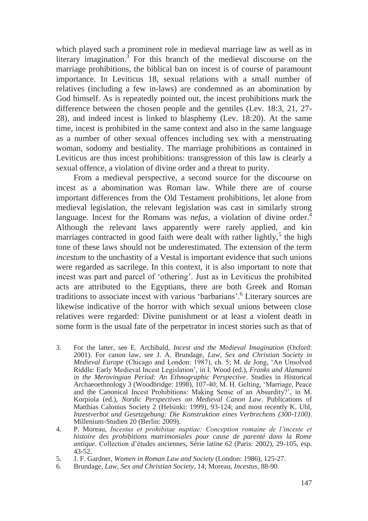which played such a prominent role in medieval marriage law as well as in literary imagination.<sup>3</sup> For this branch of the medieval discourse on the marriage prohibitions, the biblical ban on incest is of course of paramount importance. In Leviticus 18, sexual relations with a small number of relatives (including a few in-laws) are condemned as an abomination by God himself. As is repeatedly pointed out, the incest prohibitions mark the difference between the chosen people and the gentiles (Lev. 18:3, 21, 27- 28), and indeed incest is linked to blasphemy (Lev. 18:20). At the same time, incest is prohibited in the same context and also in the same language as a number of other sexual offences including sex with a menstruating woman, sodomy and bestiality. The marriage prohibitions as contained in Leviticus are thus incest prohibitions: transgression of this law is clearly a sexual offence, a violation of divine order and a threat to purity.

 From a medieval perspective, a second source for the discourse on incest as a abomination was Roman law. While there are of course important differences from the Old Testament prohibitions, let alone from medieval legislation, the relevant legislation was cast in similarly strong language. Incest for the Romans was *nefas*, a violation of divine order.<sup>4</sup> Although the relevant laws apparently were rarely applied, and kin marriages contracted in good faith were dealt with rather lightly, $5$  the high tone of these laws should not be underestimated. The extension of the term *incestum* to the unchastity of a Vestal is important evidence that such unions were regarded as sacrilege. In this context, it is also important to note that incest was part and parcel of 'othering'. Just as in Leviticus the prohibited acts are attributed to the Egyptians, there are both Greek and Roman traditions to associate incest with various 'barbarians'.<sup>6</sup> Literary sources are likewise indicative of the horror with which sexual unions between close relatives were regarded: Divine punishment or at least a violent death in some form is the usual fate of the perpetrator in incest stories such as that of

- 3. For the latter, see E. Archibald, *Incest and the Medieval Imagination* (Oxford: 2001). For canon law, see J. A. Brundage, *Law, Sex and Christian Society in Medieval Europe* (Chicago and London: 1987), ch. 5; M. de Jong, 'An Unsolved Riddle: Early Medieval Incest Legislation', in I. Wood (ed.), *Franks and Alamanni in the Merovingian Period: An Ethnographic Perspective*. Studies in Historical Archaeoethnology 3 (Woodbridge: 1998), 107-40; M. H. Gelting, 'Marriage, Peace and the Canonical Incest Prohibitions: Making Sense of an Absurdity?', in M. Korpiola (ed.), *Nordic Perspectives on Medieval Canon Law*. Publications of Matthias Calonius Society 2 (Helsinki: 1999), 93-124; and most recently K. Ubl, *Inzestverbot und Gesetzgebung: Die Konstruktion eines Verbrechens (300*-*1100)*. Millenium-Studien 20 (Berlin: 2009).
- 4. P. Moreau, *Incestus et prohibitae nuptiae: Conception romaine de l'inceste et histoire des prohibitions matrimoniales pour cause de parenté dans la Rome antique*. Collection d'études anciennes, Série latine 62 (Paris: 2002), 29-105, esp.  $43 - 52$ .
- 5. J. F. Gardner, *Women in Roman Law and Society* (London: 1986), 125-27.
- 6. Brundage, *Law, Sex and Christian Society*, 14; Moreau, *Incestus*, 88-90.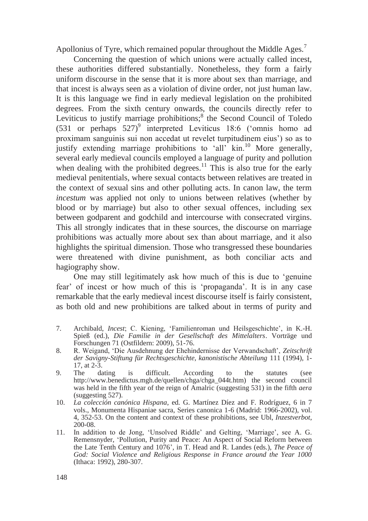Apollonius of Tyre, which remained popular throughout the Middle Ages.<sup>7</sup>

 Concerning the question of which unions were actually called incest, these authorities differed substantially. Nonetheless, they form a fairly uniform discourse in the sense that it is more about sex than marriage, and that incest is always seen as a violation of divine order, not just human law. It is this language we find in early medieval legislation on the prohibited degrees. From the sixth century onwards, the councils directly refer to Leviticus to justify marriage prohibitions;<sup>8</sup> the Second Council of Toledo  $(531$  or perhaps  $527)$ <sup>9</sup> interpreted Leviticus 18:6 ('omnis homo ad proximam sanguinis sui non accedat ut revelet turpitudinem eius') so as to justify extending marriage prohibitions to 'all' kin.<sup>10</sup> More generally, several early medieval councils employed a language of purity and pollution when dealing with the prohibited degrees.<sup>11</sup> This is also true for the early medieval penitentials, where sexual contacts between relatives are treated in the context of sexual sins and other polluting acts. In canon law, the term *incestum* was applied not only to unions between relatives (whether by blood or by marriage) but also to other sexual offences, including sex between godparent and godchild and intercourse with consecrated virgins. This all strongly indicates that in these sources, the discourse on marriage prohibitions was actually more about sex than about marriage, and it also highlights the spiritual dimension. Those who transgressed these boundaries were threatened with divine punishment, as both conciliar acts and hagiography show.

One may still legitimately ask how much of this is due to 'genuine fear' of incest or how much of this is 'propaganda'. It is in any case remarkable that the early medieval incest discourse itself is fairly consistent, as both old and new prohibitions are talked about in terms of purity and

- 7. Archibald, *Incest*; C. Kiening, 'Familienroman und Heilsgeschichte', in K.-H. Spieß (ed.), *Die Familie in der Gesellschaft des Mittelalters*. Vorträge und Forschungen 71 (Ostfildern: 2009), 51-76.
- 8. R. Weigand, 'Die Ausdehnung der Ehehindernisse der Verwandschaft', *Zeitschrift der Savigny-Stiftung für Rechtsgeschichte, kanonistische Abteilung* 111 (1994), 1- 17, at 2-3.
- 9. The dating is difficult. According to the statutes http://www.benedictus.mgh.de/quellen/chga/chga\_044t.htm) the second council was held in the fifth year of the reign of Amalric (suggesting 531) in the fifth *aera*  (suggesting 527).
- 10. *La colección canónica Hispana*, ed. G. Martínez Díez and F. Rodríguez, 6 in 7 vols., Monumenta Hispaniae sacra, Series canonica 1-6 (Madrid: 1966-2002), vol. 4, 352-53. On the content and context of these prohibitions, see Ubl, *Inzestverbot*, 200-08.
- 11. In addition to de Jong, 'Unsolved Riddle' and Gelting, 'Marriage', see A. G. Remensnyder, 'Pollution, Purity and Peace: An Aspect of Social Reform between the Late Tenth Century and 1076', in T. Head and R. Landes (eds.), *The Peace of God: Social Violence and Religious Response in France around the Year 1000* (Ithaca: 1992), 280-307.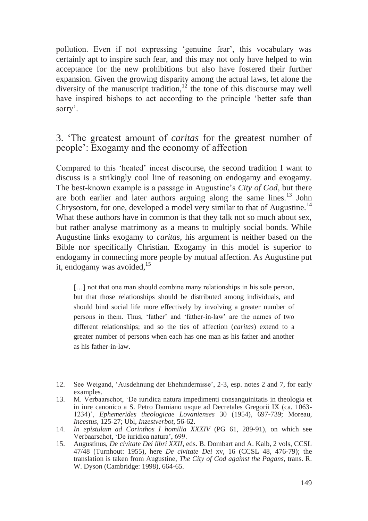pollution. Even if not expressing 'genuine fear', this vocabulary was certainly apt to inspire such fear, and this may not only have helped to win acceptance for the new prohibitions but also have fostered their further expansion. Given the growing disparity among the actual laws, let alone the diversity of the manuscript tradition, $1^2$  the tone of this discourse may well have inspired bishops to act according to the principle 'better safe than sorry'.

# 3. 'The greatest amount of *caritas* for the greatest number of people': Exogamy and the economy of affection

Compared to this 'heated' incest discourse, the second tradition I want to discuss is a strikingly cool line of reasoning on endogamy and exogamy. The best-known example is a passage in Augustine's *City of God*, but there are both earlier and later authors arguing along the same lines.<sup>13</sup> John Chrysostom, for one, developed a model very similar to that of Augustine.<sup>14</sup> What these authors have in common is that they talk not so much about sex, but rather analyse matrimony as a means to multiply social bonds. While Augustine links exogamy to *caritas*, his argument is neither based on the Bible nor specifically Christian. Exogamy in this model is superior to endogamy in connecting more people by mutual affection. As Augustine put it, endogamy was avoided.<sup>15</sup>

[...] not that one man should combine many relationships in his sole person, but that those relationships should be distributed among individuals, and should bind social life more effectively by involving a greater number of persons in them. Thus, 'father' and 'father-in-law' are the names of two different relationships; and so the ties of affection (*caritas*) extend to a greater number of persons when each has one man as his father and another as his father-in-law.

<sup>12.</sup> See Weigand, 'Ausdehnung der Ehehindernisse', 2-3, esp. notes 2 and 7, for early examples.

<sup>13.</sup> M. Verbaarschot, 'De iuridica natura impedimenti consanguinitatis in theologia et in iure canonico a S. Petro Damiano usque ad Decretales Gregorii IX (ca. 1063- 1234)', *Ephemerides theologicae Lovanienses* 30 (1954), 697-739; Moreau, *Incestus*, 125-27; Ubl, *Inzestverbot*, 56-62.

<sup>14.</sup> *In epistulam ad Corinthos I homilia XXXIV* (PG 61, 289-91), on which see Verbaarschot, 'De iuridica natura', 699.

<sup>15.</sup> Augustinus, *De civitate Dei libri XXII*, eds. B. Dombart and A. Kalb, 2 vols, CCSL 47/48 (Turnhout: 1955), here *De civitate Dei* xv, 16 (CCSL 48, 476-79); the translation is taken from Augustine, *The City of God against the Pagans*, trans. R. W. Dyson (Cambridge: 1998), 664-65.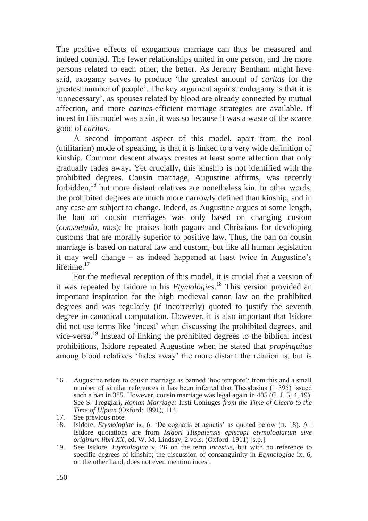The positive effects of exogamous marriage can thus be measured and indeed counted. The fewer relationships united in one person, and the more persons related to each other, the better. As Jeremy Bentham might have said, exogamy serves to produce 'the greatest amount of *caritas* for the greatest number of people'. The key argument against endogamy is that it is 'unnecessary', as spouses related by blood are already connected by mutual affection, and more *caritas*-efficient marriage strategies are available. If incest in this model was a sin, it was so because it was a waste of the scarce good of *caritas*.

 A second important aspect of this model, apart from the cool (utilitarian) mode of speaking, is that it is linked to a very wide definition of kinship. Common descent always creates at least some affection that only gradually fades away. Yet crucially, this kinship is not identified with the prohibited degrees. Cousin marriage, Augustine affirms, was recently forbidden,<sup>16</sup> but more distant relatives are nonetheless kin. In other words, the prohibited degrees are much more narrowly defined than kinship, and in any case are subject to change. Indeed, as Augustine argues at some length, the ban on cousin marriages was only based on changing custom (*consuetudo*, *mos*); he praises both pagans and Christians for developing customs that are morally superior to positive law. Thus, the ban on cousin marriage is based on natural law and custom, but like all human legislation it may well change – as indeed happened at least twice in Augustine's lifetime. $17$ 

 For the medieval reception of this model, it is crucial that a version of it was repeated by Isidore in his *Etymologies*. 18 This version provided an important inspiration for the high medieval canon law on the prohibited degrees and was regularly (if incorrectly) quoted to justify the seventh degree in canonical computation. However, it is also important that Isidore did not use terms like 'incest' when discussing the prohibited degrees, and vice-versa.19 Instead of linking the prohibited degrees to the biblical incest prohibitions, Isidore repeated Augustine when he stated that *propinquitas* among blood relatives 'fades away' the more distant the relation is, but is

<sup>16.</sup> Augustine refers to cousin marriage as banned 'hoc tempore'; from this and a small number of similar references it has been inferred that Theodosius († 395) issued such a ban in 385. However, cousin marriage was legal again in 405  $(C. J. 5, 4, 19)$ . See S. Treggiari, *Roman Marriage:* Iusti Coniuges *from the Time of Cicero to the Time of Ulpian* (Oxford: 1991), 114.

<sup>17.</sup> See previous note.

<sup>18.</sup> Isidore, *Etymologiae* ix, 6: 'De cognatis et agnatis' as quoted below (n. 18). All Isidore quotations are from *Isidori Hispalensis episcopi etymologiarum sive originum libri XX*, ed. W. M. Lindsay, 2 vols. (Oxford: 1911) [s.p.].

<sup>19.</sup> See Isidore, *Etymologiae* v, 26 on the term *incestus*, but with no reference to specific degrees of kinship; the discussion of consanguinity in *Etymologiae* ix, 6, on the other hand, does not even mention incest.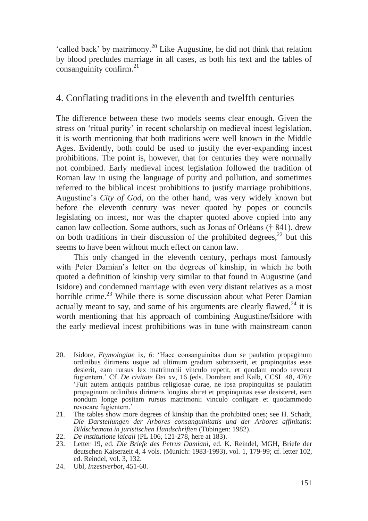'called back' by matrimony.20 Like Augustine, he did not think that relation by blood precludes marriage in all cases, as both his text and the tables of consanguinity confirm. $^{21}$ 

# 4. Conflating traditions in the eleventh and twelfth centuries

The difference between these two models seems clear enough. Given the stress on 'ritual purity' in recent scholarship on medieval incest legislation, it is worth mentioning that both traditions were well known in the Middle Ages. Evidently, both could be used to justify the ever-expanding incest prohibitions. The point is, however, that for centuries they were normally not combined. Early medieval incest legislation followed the tradition of Roman law in using the language of purity and pollution, and sometimes referred to the biblical incest prohibitions to justify marriage prohibitions. Augustine's *City of God*, on the other hand, was very widely known but before the eleventh century was never quoted by popes or councils legislating on incest, nor was the chapter quoted above copied into any canon law collection. Some authors, such as Jonas of Orléans († 841), drew on both traditions in their discussion of the prohibited degrees,<sup>22</sup> but this seems to have been without much effect on canon law.

 This only changed in the eleventh century, perhaps most famously with Peter Damian's letter on the degrees of kinship, in which he both quoted a definition of kinship very similar to that found in Augustine (and Isidore) and condemned marriage with even very distant relatives as a most horrible crime.<sup>23</sup> While there is some discussion about what Peter Damian actually meant to say, and some of his arguments are clearly flawed, $^{24}$  it is worth mentioning that his approach of combining Augustine/Isidore with the early medieval incest prohibitions was in tune with mainstream canon

- 20. Isidore, *Etymologiae* ix, 6: 'Haec consanguinitas dum se paulatim propaginum ordinibus dirimens usque ad ultimum gradum subtraxerit, et propinquitas esse desierit, eam rursus lex matrimonii vinculo repetit, et quodam modo revocat fugientem.' Cf. *De civitate Dei* xv, 16 (eds. Dombart and Kalb, CCSL 48, 476): 'Fuit autem antiquis patribus religiosae curae, ne ipsa propinquitas se paulatim propaginum ordinibus dirimens longius abiret et propinquitas esse desisteret, eam nondum longe positam rursus matrimonii vinculo conligare et quodammodo revocare fugientem.'
- 21. The tables show more degrees of kinship than the prohibited ones; see H. Schadt, *Die Darstellungen der Arbores consanguinitatis und der Arbores affinitatis: Bildschemata in juristischen Handschriften* (Tübingen: 1982).
- 22. *De institutione laicali* (PL 106, 121-278, here at 183).
- 23. Letter 19, ed. *Die Briefe des Petrus Damiani*, ed. K. Reindel, MGH, Briefe der deutschen Kaiserzeit 4, 4 vols. (Munich: 1983-1993), vol. 1, 179-99; cf. letter 102, ed. Reindel, vol. 3, 132.
- 24. Ubl, *Inzestverbot*, 451-60.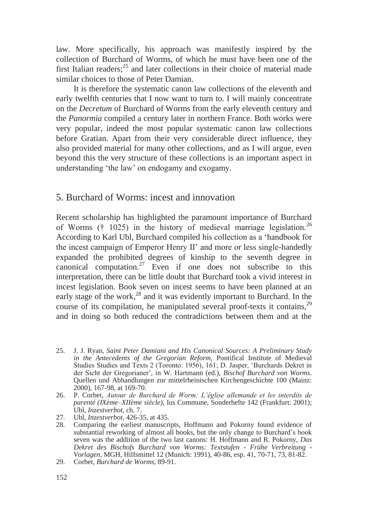law. More specifically, his approach was manifestly inspired by the collection of Burchard of Worms, of which he must have been one of the first Italian readers; $^{25}$  and later collections in their choice of material made similar choices to those of Peter Damian.

 It is therefore the systematic canon law collections of the eleventh and early twelfth centuries that I now want to turn to. I will mainly concentrate on the *Decretum* of Burchard of Worms from the early eleventh century and the *Panormia* compiled a century later in northern France. Both works were very popular, indeed the most popular systematic canon law collections before Gratian. Apart from their very considerable direct influence, they also provided material for many other collections, and as I will argue, even beyond this the very structure of these collections is an important aspect in understanding 'the law' on endogamy and exogamy.

#### 5. Burchard of Worms: incest and innovation

Recent scholarship has highlighted the paramount importance of Burchard of Worms († 1025) in the history of medieval marriage legislation.<sup>26</sup> According to Karl Ubl, Burchard compiled his collection as a 'handbook for the incest campaign of Emperor Henry II' and more or less single-handedly expanded the prohibited degrees of kinship to the seventh degree in canonical computation.<sup>27</sup> Even if one does not subscribe to this interpretation, there can be little doubt that Burchard took a vivid interest in incest legislation. Book seven on incest seems to have been planned at an early stage of the work,<sup>28</sup> and it was evidently important to Burchard. In the course of its compilation, he manipulated several proof-texts it contains,  $2^9$ and in doing so both reduced the contradictions between them and at the

- 25. J. J. Ryan, *Saint Peter Damiani and His Canonical Sources: A Preliminary Study in the Antecedents of the Gregorian Reform*, Pontifical Institute of Medieval Studies Studies and Texts 2 (Toronto: 1956), 161; D. Jasper, 'Burchards Dekret in der Sicht der Gregorianer', in W. Hartmann (ed.), *Bischof Burchard von Worms*. Quellen und Abhandlungen zur mittelrheinischen Kirchengeschichte 100 (Mainz: 2000), 167-98, at 169-70.
- 26. P. Corbet, *Autour de Burchard de Worm: L'église allemande et les interdits de parenté (IXème–XIIème siècle)*, Ius Commune, Sonderhefte 142 (Frankfurt: 2001); Ubl, *Inzestverbot*, ch. 7.
- 27. Ubl, *Inzestverbot*, 426-35, at 435.
- 28. Comparing the earliest manuscripts, Hoffmann and Pokorny found evidence of substantial reworking of almost all books, but the only change to Burchard's book seven was the addition of the two last canons: H. Hoffmann and R. Pokorny, *Das Dekret des Bischofs Burchard von Worms: Textstufen - Frühe Verbreitung - Vorlagen*, MGH, Hilfsmittel 12 (Munich: 1991), 40-86, esp. 41, 70-71, 73, 81-82.
- 29. Corbet, *Burchard de Worms*, 89-91.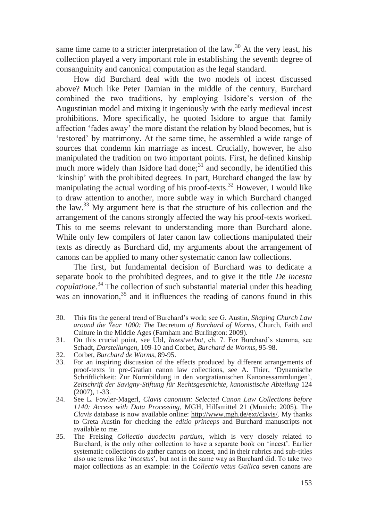same time came to a stricter interpretation of the law.<sup>30</sup> At the very least, his collection played a very important role in establishing the seventh degree of consanguinity and canonical computation as the legal standard.

 How did Burchard deal with the two models of incest discussed above? Much like Peter Damian in the middle of the century, Burchard combined the two traditions, by employing Isidore's version of the Augustinian model and mixing it ingeniously with the early medieval incest prohibitions. More specifically, he quoted Isidore to argue that family affection 'fades away' the more distant the relation by blood becomes, but is 'restored' by matrimony. At the same time, he assembled a wide range of sources that condemn kin marriage as incest. Crucially, however, he also manipulated the tradition on two important points. First, he defined kinship much more widely than Isidore had done; $31$  and secondly, he identified this 'kinship' with the prohibited degrees. In part, Burchard changed the law by manipulating the actual wording of his proof-texts.<sup>32</sup> However, I would like to draw attention to another, more subtle way in which Burchard changed the law.33 My argument here is that the structure of his collection and the arrangement of the canons strongly affected the way his proof-texts worked. This to me seems relevant to understanding more than Burchard alone. While only few compilers of later canon law collections manipulated their texts as directly as Burchard did, my arguments about the arrangement of canons can be applied to many other systematic canon law collections.

 The first, but fundamental decision of Burchard was to dedicate a separate book to the prohibited degrees, and to give it the title *De incesta copulatione*. 34 The collection of such substantial material under this heading was an innovation,  $35$  and it influences the reading of canons found in this

- 30. This fits the general trend of Burchard's work; see G. Austin, *Shaping Church Law around the Year 1000: The* Decretum *of Burchard of Worms*, Church, Faith and Culture in the Middle Ages (Farnham and Burlington: 2009).
- 31. On this crucial point, see Ubl, *Inzestverbot*, ch. 7. For Burchard's stemma, see Schadt, *Darstellungen*, 109-10 and Corbet, *Burchard de Worms*, 95-98.
- 32. Corbet, *Burchard de Worms*, 89-95.
- 33. For an inspiring discussion of the effects produced by different arrangements of proof-texts in pre-Gratian canon law collections, see A. Thier, 'Dynamische Schriftlichkeit: Zur Normbildung in den vorgratianischen Kanonessammlungen', *Zeitschrift der Savigny-Stiftung für Rechtsgeschichte, kanonistische Abteilung* 124 (2007), 1-33.
- 34. See L. Fowler-Magerl, *Clavis canonum: Selected Canon Law Collections before 1140: Access with Data Processing*, MGH, Hilfsmittel 21 (Munich: 2005). The *Clavis* database is now available online: http://www.mgh.de/ext/clavis/. My thanks to Greta Austin for checking the *editio princeps* and Burchard manuscripts not available to me.
- 35. The Freising *Collectio duodecim partium*, which is very closely related to Burchard, is the only other collection to have a separate book on 'incest'. Earlier systematic collections do gather canons on incest, and in their rubrics and sub-titles also use terms like '*incestus*', but not in the same way as Burchard did. To take two major collections as an example: in the *Collectio vetus Gallica* seven canons are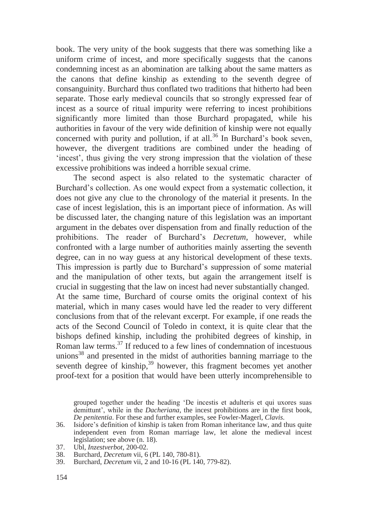book. The very unity of the book suggests that there was something like a uniform crime of incest, and more specifically suggests that the canons condemning incest as an abomination are talking about the same matters as the canons that define kinship as extending to the seventh degree of consanguinity. Burchard thus conflated two traditions that hitherto had been separate. Those early medieval councils that so strongly expressed fear of incest as a source of ritual impurity were referring to incest prohibitions significantly more limited than those Burchard propagated, while his authorities in favour of the very wide definition of kinship were not equally concerned with purity and pollution, if at all. $36$  In Burchard's book seven, however, the divergent traditions are combined under the heading of 'incest', thus giving the very strong impression that the violation of these excessive prohibitions was indeed a horrible sexual crime.

 The second aspect is also related to the systematic character of Burchard's collection. As one would expect from a systematic collection, it does not give any clue to the chronology of the material it presents. In the case of incest legislation, this is an important piece of information. As will be discussed later, the changing nature of this legislation was an important argument in the debates over dispensation from and finally reduction of the prohibitions. The reader of Burchard's *Decretum*, however, while confronted with a large number of authorities mainly asserting the seventh degree, can in no way guess at any historical development of these texts. This impression is partly due to Burchard's suppression of some material and the manipulation of other texts, but again the arrangement itself is crucial in suggesting that the law on incest had never substantially changed. At the same time, Burchard of course omits the original context of his material, which in many cases would have led the reader to very different conclusions from that of the relevant excerpt. For example, if one reads the acts of the Second Council of Toledo in context, it is quite clear that the bishops defined kinship, including the prohibited degrees of kinship, in Roman law terms.<sup>37</sup> If reduced to a few lines of condemnation of incestuous unions<sup>38</sup> and presented in the midst of authorities banning marriage to the seventh degree of kinship,<sup>39</sup> however, this fragment becomes yet another

proof-text for a position that would have been utterly incomprehensible to

grouped together under the heading 'De incestis et adulteris et qui uxores suas demittunt', while in the *Dacheriana*, the incest prohibitions are in the first book, *De penitentia*. For these and further examples, see Fowler-Magerl, *Clavis*.

- 36. Isidore's definition of kinship is taken from Roman inheritance law, and thus quite independent even from Roman marriage law, let alone the medieval incest legislation; see above (n. 18).
- 37. Ubl, *Inzestverbot*, 200-02.
- 38. Burchard, *Decretum* vii, 6 (PL 140, 780-81).
- 39. Burchard, *Decretum* vii, 2 and 10-16 (PL 140, 779-82).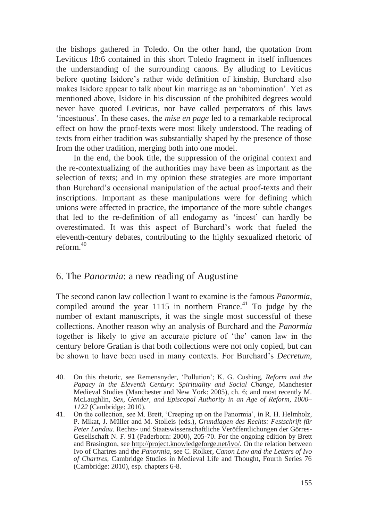the bishops gathered in Toledo. On the other hand, the quotation from Leviticus 18:6 contained in this short Toledo fragment in itself influences the understanding of the surrounding canons. By alluding to Leviticus before quoting Isidore's rather wide definition of kinship, Burchard also makes Isidore appear to talk about kin marriage as an 'abomination'. Yet as mentioned above, Isidore in his discussion of the prohibited degrees would never have quoted Leviticus, nor have called perpetrators of this laws 'incestuous'. In these cases, the *mise en page* led to a remarkable reciprocal effect on how the proof-texts were most likely understood. The reading of texts from either tradition was substantially shaped by the presence of those from the other tradition, merging both into one model.

 In the end, the book title, the suppression of the original context and the re-contextualizing of the authorities may have been as important as the selection of texts; and in my opinion these strategies are more important than Burchard's occasional manipulation of the actual proof-texts and their inscriptions. Important as these manipulations were for defining which unions were affected in practice, the importance of the more subtle changes that led to the re-definition of all endogamy as 'incest' can hardly be overestimated. It was this aspect of Burchard's work that fueled the eleventh-century debates, contributing to the highly sexualized rhetoric of reform.40

#### 6. The *Panormia*: a new reading of Augustine

The second canon law collection I want to examine is the famous *Panormia*, compiled around the year  $1115$  in northern France.<sup>41</sup> To judge by the number of extant manuscripts, it was the single most successful of these collections. Another reason why an analysis of Burchard and the *Panormia* together is likely to give an accurate picture of 'the' canon law in the century before Gratian is that both collections were not only copied, but can be shown to have been used in many contexts. For Burchard's *Decretum*,

- 40. On this rhetoric, see Remensnyder, 'Pollution'; K. G. Cushing, *Reform and the Papacy in the Eleventh Century: Spirituality and Social Change*, Manchester Medieval Studies (Manchester and New York: 2005), ch. 6; and most recently M. McLaughlin, *Sex, Gender, and Episcopal Authority in an Age of Reform, 1000– 1122* (Cambridge: 2010).
- 41. On the collection, see M. Brett, 'Creeping up on the Panormia', in R. H. Helmholz, P. Mikat, J. Müller and M. Stolleis (eds.), *Grundlagen des Rechts: Festschrift für Peter Landau*. Rechts- und Staatswissenschaftliche Veröffentlichungen der Görres-Gesellschaft N. F. 91 (Paderborn: 2000), 205-70. For the ongoing edition by Brett and Brasington, see http://project.knowledgeforge.net/ivo/. On the relation between Ivo of Chartres and the *Panormia*, see C. Rolker, *Canon Law and the Letters of Ivo of Chartres*, Cambridge Studies in Medieval Life and Thought, Fourth Series 76 (Cambridge: 2010), esp. chapters 6-8.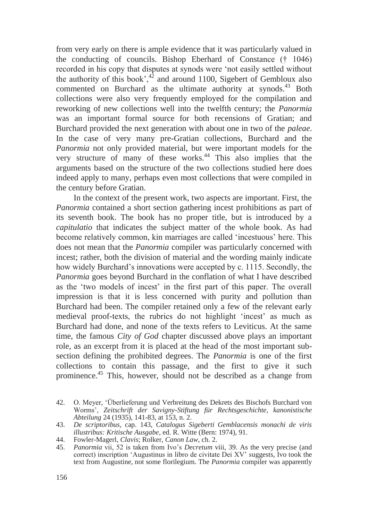from very early on there is ample evidence that it was particularly valued in the conducting of councils. Bishop Eberhard of Constance († 1046) recorded in his copy that disputes at synods were 'not easily settled without the authority of this book', $4^2$  and around 1100, Sigebert of Gembloux also commented on Burchard as the ultimate authority at synods.<sup>43</sup> Both collections were also very frequently employed for the compilation and reworking of new collections well into the twelfth century; the *Panormia* was an important formal source for both recensions of Gratian; and Burchard provided the next generation with about one in two of the *paleae*. In the case of very many pre-Gratian collections, Burchard and the *Panormia* not only provided material, but were important models for the very structure of many of these works.<sup>44</sup> This also implies that the arguments based on the structure of the two collections studied here does indeed apply to many, perhaps even most collections that were compiled in the century before Gratian.

 In the context of the present work, two aspects are important. First, the *Panormia* contained a short section gathering incest prohibitions as part of its seventh book. The book has no proper title, but is introduced by a *capitulatio* that indicates the subject matter of the whole book. As had become relatively common, kin marriages are called 'incestuous' here. This does not mean that the *Panormia* compiler was particularly concerned with incest; rather, both the division of material and the wording mainly indicate how widely Burchard's innovations were accepted by c. 1115. Secondly, the *Panormia* goes beyond Burchard in the conflation of what I have described as the 'two models of incest' in the first part of this paper. The overall impression is that it is less concerned with purity and pollution than Burchard had been. The compiler retained only a few of the relevant early medieval proof-texts, the rubrics do not highlight 'incest' as much as Burchard had done, and none of the texts refers to Leviticus. At the same time, the famous *City of God* chapter discussed above plays an important role, as an excerpt from it is placed at the head of the most important subsection defining the prohibited degrees. The *Panormia* is one of the first collections to contain this passage, and the first to give it such prominence.45 This, however, should not be described as a change from

<sup>42.</sup> O. Meyer, 'Überlieferung und Verbreitung des Dekrets des Bischofs Burchard von Worms', *Zeitschrift der Savigny-Stiftung für Rechtsgeschichte, kanonistische Abteilung* 24 (1935), 141-83, at 153, n. 2.

<sup>43.</sup> *De scriptoribus*, cap. 143, *Catalogus Sigeberti Gemblacensis monachi de viris illustribus: Kritische Ausgabe*, ed. R. Witte (Bern: 1974), 91.

<sup>44.</sup> Fowler-Magerl, *Clavis*; Rolker, *Canon Law*, ch. 2.

<sup>45.</sup> *Panormia* vii, 52 is taken from Ivo's *Decretum* viii, 39. As the very precise (and correct) inscription 'Augustinus in libro de civitate Dei XV' suggests, Ivo took the text from Augustine, not some florilegium. The *Panormia* compiler was apparently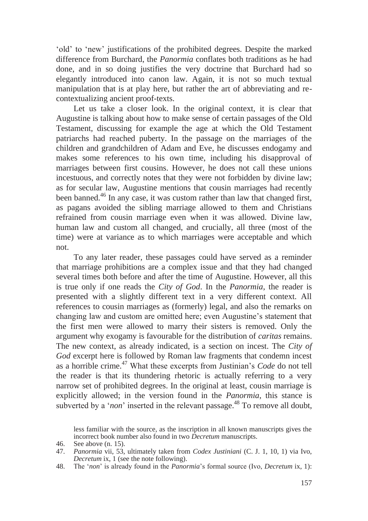'old' to 'new' justifications of the prohibited degrees. Despite the marked difference from Burchard, the *Panormia* conflates both traditions as he had done, and in so doing justifies the very doctrine that Burchard had so elegantly introduced into canon law. Again, it is not so much textual manipulation that is at play here, but rather the art of abbreviating and recontextualizing ancient proof-texts.

 Let us take a closer look. In the original context, it is clear that Augustine is talking about how to make sense of certain passages of the Old Testament, discussing for example the age at which the Old Testament patriarchs had reached puberty. In the passage on the marriages of the children and grandchildren of Adam and Eve, he discusses endogamy and makes some references to his own time, including his disapproval of marriages between first cousins. However, he does not call these unions incestuous, and correctly notes that they were not forbidden by divine law; as for secular law, Augustine mentions that cousin marriages had recently been banned.<sup>46</sup> In any case, it was custom rather than law that changed first, as pagans avoided the sibling marriage allowed to them and Christians refrained from cousin marriage even when it was allowed. Divine law, human law and custom all changed, and crucially, all three (most of the time) were at variance as to which marriages were acceptable and which not.

 To any later reader, these passages could have served as a reminder that marriage prohibitions are a complex issue and that they had changed several times both before and after the time of Augustine. However, all this is true only if one reads the *City of God*. In the *Panormia*, the reader is presented with a slightly different text in a very different context. All references to cousin marriages as (formerly) legal, and also the remarks on changing law and custom are omitted here; even Augustine's statement that the first men were allowed to marry their sisters is removed. Only the argument why exogamy is favourable for the distribution of *caritas* remains. The new context, as already indicated, is a section on incest. The *City of God* excerpt here is followed by Roman law fragments that condemn incest as a horrible crime.<sup>47</sup> What these excerpts from Justinian's *Code* do not tell the reader is that its thundering rhetoric is actually referring to a very narrow set of prohibited degrees. In the original at least, cousin marriage is explicitly allowed; in the version found in the *Panormia*, this stance is subverted by a '*non*' inserted in the relevant passage.<sup>48</sup> To remove all doubt,

less familiar with the source, as the inscription in all known manuscripts gives the incorrect book number also found in two *Decretum* manuscripts.

<sup>46.</sup> See above (n. 15).

<sup>47.</sup> *Panormia* vii, 53, ultimately taken from *Codex Justiniani* (C. J. 1, 10, 1) via Ivo, *Decretum* ix, 1 (see the note following).

<sup>48.</sup> The '*non*' is already found in the *Panormia*'s formal source (Ivo, *Decretum* ix, 1):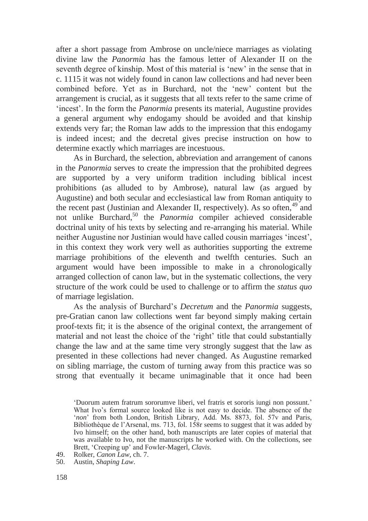after a short passage from Ambrose on uncle/niece marriages as violating divine law the *Panormia* has the famous letter of Alexander II on the seventh degree of kinship. Most of this material is 'new' in the sense that in c. 1115 it was not widely found in canon law collections and had never been combined before. Yet as in Burchard, not the 'new' content but the arrangement is crucial, as it suggests that all texts refer to the same crime of 'incest'. In the form the *Panormia* presents its material, Augustine provides a general argument why endogamy should be avoided and that kinship extends very far; the Roman law adds to the impression that this endogamy is indeed incest; and the decretal gives precise instruction on how to determine exactly which marriages are incestuous.

 As in Burchard, the selection, abbreviation and arrangement of canons in the *Panormia* serves to create the impression that the prohibited degrees are supported by a very uniform tradition including biblical incest prohibitions (as alluded to by Ambrose), natural law (as argued by Augustine) and both secular and ecclesiastical law from Roman antiquity to the recent past (Justinian and Alexander II, respectively). As so often,  $49$  and not unlike Burchard,50 the *Panormia* compiler achieved considerable doctrinal unity of his texts by selecting and re-arranging his material. While neither Augustine nor Justinian would have called cousin marriages 'incest', in this context they work very well as authorities supporting the extreme marriage prohibitions of the eleventh and twelfth centuries. Such an argument would have been impossible to make in a chronologically arranged collection of canon law, but in the systematic collections, the very structure of the work could be used to challenge or to affirm the *status quo* of marriage legislation.

As the analysis of Burchard's *Decretum* and the *Panormia* suggests, pre-Gratian canon law collections went far beyond simply making certain proof-texts fit; it is the absence of the original context, the arrangement of material and not least the choice of the 'right' title that could substantially change the law and at the same time very strongly suggest that the law as presented in these collections had never changed. As Augustine remarked on sibling marriage, the custom of turning away from this practice was so strong that eventually it became unimaginable that it once had been

- 49. Rolker, *Canon Law*, ch. 7.
- 50. Austin, *Shaping Law*.

<sup>&#</sup>x27;Duorum autem fratrum sororumve liberi, vel fratris et sororis iungi non possunt.' What Ivo's formal source looked like is not easy to decide. The absence of the '*non*' from both London, British Library, Add. Ms. 8873, fol. 57v and Paris, Bibliothèque de l'Arsenal, ms. 713, fol. 158r seems to suggest that it was added by Ivo himself; on the other hand, both manuscripts are later copies of material that was available to Ivo, not the manuscripts he worked with. On the collections, see Brett, 'Creeping up' and Fowler-Magerl, *Clavis*.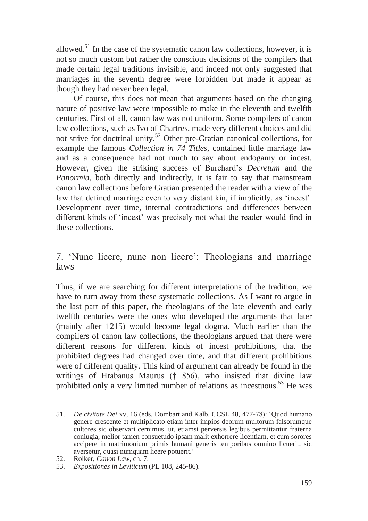allowed.<sup>51</sup> In the case of the systematic canon law collections, however, it is not so much custom but rather the conscious decisions of the compilers that made certain legal traditions invisible, and indeed not only suggested that marriages in the seventh degree were forbidden but made it appear as though they had never been legal.

 Of course, this does not mean that arguments based on the changing nature of positive law were impossible to make in the eleventh and twelfth centuries. First of all, canon law was not uniform. Some compilers of canon law collections, such as Ivo of Chartres, made very different choices and did not strive for doctrinal unity.<sup>52</sup> Other pre-Gratian canonical collections, for example the famous *Collection in 74 Titles*, contained little marriage law and as a consequence had not much to say about endogamy or incest. However, given the striking success of Burchard's *Decretum* and the *Panormia*, both directly and indirectly, it is fair to say that mainstream canon law collections before Gratian presented the reader with a view of the law that defined marriage even to very distant kin, if implicitly, as 'incest'. Development over time, internal contradictions and differences between different kinds of 'incest' was precisely not what the reader would find in these collections.

#### 7. 'Nunc licere, nunc non licere': Theologians and marriage laws

Thus, if we are searching for different interpretations of the tradition, we have to turn away from these systematic collections. As I want to argue in the last part of this paper, the theologians of the late eleventh and early twelfth centuries were the ones who developed the arguments that later (mainly after 1215) would become legal dogma. Much earlier than the compilers of canon law collections, the theologians argued that there were different reasons for different kinds of incest prohibitions, that the prohibited degrees had changed over time, and that different prohibitions were of different quality. This kind of argument can already be found in the writings of Hrabanus Maurus († 856), who insisted that divine law prohibited only a very limited number of relations as incestuous.53 He was

<sup>51.</sup> *De civitate Dei* xv, 16 (eds. Dombart and Kalb, CCSL 48, 477-78): 'Quod humano genere crescente et multiplicato etiam inter impios deorum multorum falsorumque cultores sic observari cernimus, ut, etiamsi perversis legibus permittantur fraterna coniugia, melior tamen consuetudo ipsam malit exhorrere licentiam, et cum sorores accipere in matrimonium primis humani generis temporibus omnino licuerit, sic aversetur, quasi numquam licere potuerit.'

<sup>52.</sup> Rolker, *Canon Law*, ch. 7.

<sup>53.</sup> *Expositiones in Leviticum* (PL 108, 245-86).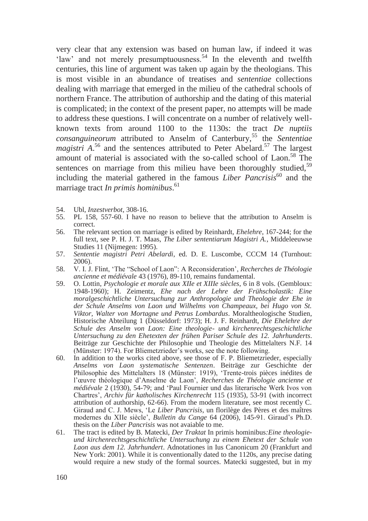very clear that any extension was based on human law, if indeed it was 'law' and not merely presumptuousness.<sup>54</sup> In the eleventh and twelfth centuries, this line of argument was taken up again by the theologians. This is most visible in an abundance of treatises and *sententiae* collections dealing with marriage that emerged in the milieu of the cathedral schools of northern France. The attribution of authorship and the dating of this material is complicated; in the context of the present paper, no attempts will be made to address these questions. I will concentrate on a number of relatively wellknown texts from around 1100 to the 1130s: the tract *De nuptiis consanguineorum* attributed to Anselm of Canterbury,<sup>55</sup> the *Sententiae magistri*  $A^{56}$  and the sentences attributed to Peter Abelard.<sup>57</sup> The largest amount of material is associated with the so-called school of Laon.58 The sentences on marriage from this milieu have been thoroughly studied,  $59$ including the material gathered in the famous *Liber Pancrisis*60 and the marriage tract *In primis hominibus*. 61

- 54. Ubl, *Inzestverbot*, 308-16.
- 55. PL 158, 557-60. I have no reason to believe that the attribution to Anselm is correct.
- 56. The relevant section on marriage is edited by Reinhardt, *Ehelehre*, 167-244; for the full text, see P. H. J. T. Maas, *The Liber sententiarum Magistri A.*, Middeleeuwse Studies 11 (Nijmegen: 1995).
- 57. *Sententie magistri Petri Abelardi*, ed. D. E. Luscombe, CCCM 14 (Turnhout: 2006).
- 58. V. I. J. Flint, 'The "School of Laon": A Reconsideration', *Recherches de Théologie ancienne et médiévale* 43 (1976), 89-110, remains fundamental.
- 59. O. Lottin, *Psychologie et morale aux XIIe et XIIIe siècles*, 6 in 8 vols. (Gembloux: 1948-1960); H. Zeimentz, *Ehe nach der Lehre der Frühscholastik: Eine moralgeschichtliche Untersuchung zur Anthropologie und Theologie der Ehe in der Schule Anselms von Laon und Wilhelms von Champeaux, bei Hugo von St. Viktor, Walter von Mortagne und Petrus Lombardus*. Moraltheologische Studien, Historische Abteilung 1 (Düsseldorf: 1973); H. J. F. Reinhardt, *Die Ehelehre der Schule des Anselm von Laon: Eine theologie- und kirchenrechtsgeschichtliche Untersuchung zu den Ehetexten der frühen Pariser Schule des 12. Jahrhunderts*. Beiträge zur Geschichte der Philosophie und Theologie des Mittelalters N.F. 14 (Münster: 1974). For Bliemetzrieder's works, see the note following.
- 60. In addition to the works cited above, see those of F. P. Bliemetzrieder, especially *Anselms von Laon systematische Sentenzen*. Beiträge zur Geschichte der Philosophie des Mittelalters 18 (Münster: 1919), 'Trente-trois pièces inédites de l'œuvre théologique d'Anselme de Laon', *Recherches de Théologie ancienne et médiévale* 2 (1930), 54-79; and 'Paul Fournier und das literarische Werk Ivos von Chartres', *Archiv für katholisches Kirchenrecht* 115 (1935), 53-91 (with incorrect attribution of authorship, 62-66). From the modern literature, see most recently C. Giraud and C. J. Mews, 'Le *Liber Pancrisis*, un florilège des Pères et des maîtres modernes du XIIe siècle', *Bulletin du Cange* 64 (2006), 145-91. Giraud's Ph.D. thesis on the *Liber Pancrisis* was not avaiable to me.
- 61. The tract is edited by B. Matecki, *Der Traktat* In primis hominibus*:Eine theologieund kirchenrechtsgeschichtliche Untersuchung zu einem Ehetext der Schule von Laon aus dem 12. Jahrhundert*. Adnotationes in Ius Canonicum 20 (Frankfurt and New York: 2001). While it is conventionally dated to the 1120s, any precise dating would require a new study of the formal sources. Matecki suggested, but in my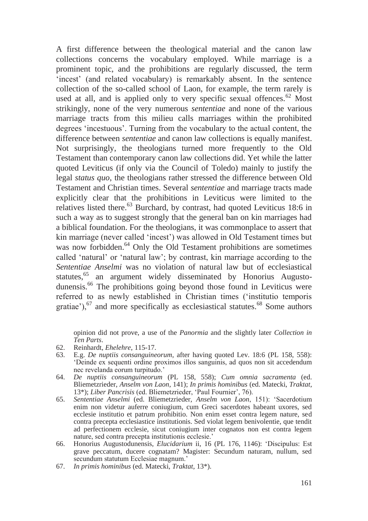A first difference between the theological material and the canon law collections concerns the vocabulary employed. While marriage is a prominent topic, and the prohibitions are regularly discussed, the term 'incest' (and related vocabulary) is remarkably absent. In the sentence collection of the so-called school of Laon, for example, the term rarely is used at all, and is applied only to very specific sexual offences.<sup>62</sup> Most strikingly, none of the very numerous *sententiae* and none of the various marriage tracts from this milieu calls marriages within the prohibited degrees 'incestuous'. Turning from the vocabulary to the actual content, the difference between *sententiae* and canon law collections is equally manifest. Not surprisingly, the theologians turned more frequently to the Old Testament than contemporary canon law collections did. Yet while the latter quoted Leviticus (if only via the Council of Toledo) mainly to justify the legal *status quo*, the theologians rather stressed the difference between Old Testament and Christian times. Several *sententiae* and marriage tracts made explicitly clear that the prohibitions in Leviticus were limited to the relatives listed there.<sup>63</sup> Burchard, by contrast, had quoted Leviticus 18:6 in such a way as to suggest strongly that the general ban on kin marriages had a biblical foundation. For the theologians, it was commonplace to assert that kin marriage (never called 'incest') was allowed in Old Testament times but was now forbidden.<sup>64</sup> Only the Old Testament prohibitions are sometimes called 'natural' or 'natural law'; by contrast, kin marriage according to the *Sententiae Anselmi* was no violation of natural law but of ecclesiastical statutes,<sup>65</sup> an argument widely disseminated by Honorius Augustodunensis.<sup>66</sup> The prohibitions going beyond those found in Leviticus were referred to as newly established in Christian times ('institutio temporis gratiae'), $67$  and more specifically as ecclesiastical statutes. $68$  Some authors

opinion did not prove, a use of the *Panormia* and the slightly later *Collection in Ten Parts*.

- 62. Reinhardt, *Ehelehre*, 115-17.
- 63. E.g. *De nuptiis consanguineorum*, after having quoted Lev. 18:6 (PL 158, 558): 'Deinde ex sequenti ordine proximos illos sanguinis, ad quos non sit accedendum nec revelanda eorum turpitudo.'
- 64. *De nuptiis consanguineorum* (PL 158, 558); *Cum omnia sacramenta* (ed. Bliemetzrieder, *Anselm von Laon*, 141); *In primis hominibus* (ed. Matecki, *Traktat*, 13\*); *Liber Pancrisis* (ed. Bliemetzrieder, 'Paul Fournier', 76).
- 65. *Sententiae Anselmi* (ed. Bliemetzrieder, *Anselm von Laon*, 151): 'Sacerdotium enim non videtur auferre coniugium, cum Greci sacerdotes habeant uxores, sed ecclesie institutio et patrum prohibitio. Non enim esset contra legem nature, sed contra precepta ecclesiastice institutionis. Sed violat legem benivolentie, que tendit ad perfectionem ecclesie, sicut coniugium inter cognatos non est contra legem nature, sed contra precepta institutionis ecclesie.'
- 66. Honorius Augustodunensis, *Elucidarium* ii, 16 (PL 176, 1146): 'Discipulus: Est grave peccatum, ducere cognatam? Magister: Secundum naturam, nullum, sed secundum statutum Ecclesiae magnum.'
- 67. *In primis hominibus* (ed. Matecki, *Traktat*, 13\*).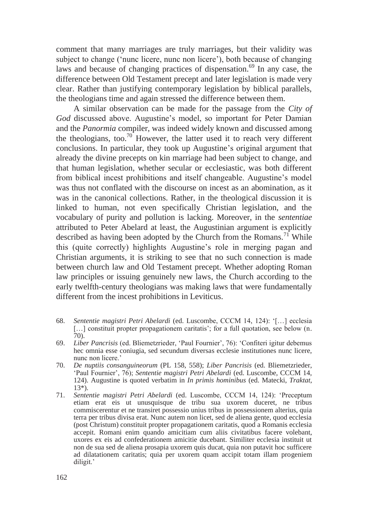comment that many marriages are truly marriages, but their validity was subject to change ('nunc licere, nunc non licere'), both because of changing laws and because of changing practices of dispensation.<sup>69</sup> In any case, the difference between Old Testament precept and later legislation is made very clear. Rather than justifying contemporary legislation by biblical parallels, the theologians time and again stressed the difference between them.

 A similar observation can be made for the passage from the *City of God* discussed above. Augustine's model, so important for Peter Damian and the *Panormia* compiler, was indeed widely known and discussed among the theologians, too.<sup>70</sup> However, the latter used it to reach very different conclusions. In particular, they took up Augustine's original argument that already the divine precepts on kin marriage had been subject to change, and that human legislation, whether secular or ecclesiastic, was both different from biblical incest prohibitions and itself changeable. Augustine's model was thus not conflated with the discourse on incest as an abomination, as it was in the canonical collections. Rather, in the theological discussion it is linked to human, not even specifically Christian legislation, and the vocabulary of purity and pollution is lacking. Moreover, in the *sententiae* attributed to Peter Abelard at least, the Augustinian argument is explicitly described as having been adopted by the Church from the Romans.<sup>71</sup> While this (quite correctly) highlights Augustine's role in merging pagan and Christian arguments, it is striking to see that no such connection is made between church law and Old Testament precept. Whether adopting Roman law principles or issuing genuinely new laws, the Church according to the early twelfth-century theologians was making laws that were fundamentally different from the incest prohibitions in Leviticus.

- 68. *Sententie magistri Petri Abelardi* (ed. Luscombe, CCCM 14, 124): '[…] ecclesia [...] constituit propter propagationem caritatis'; for a full quotation, see below (n.  $70$ ).
- 69. *Liber Pancrisis* (ed. Bliemetzrieder, 'Paul Fournier', 76): 'Confiteri igitur debemus hec omnia esse coniugia, sed secundum diversas ecclesie institutiones nunc licere, nunc non licere.'
- 70. *De nuptiis consanguineorum* (PL 158, 558); *Liber Pancrisis* (ed. Bliemetzrieder, 'Paul Fournier', 76); *Sententie magistri Petri Abelardi* (ed. Luscombe, CCCM 14, 124). Augustine is quoted verbatim in *In primis hominibus* (ed. Matecki, *Traktat*, 13\*).
- 71. *Sententie magistri Petri Abelardi* (ed. Luscombe, CCCM 14, 124): 'Preceptum etiam erat eis ut unusquisque de tribu sua uxorem duceret, ne tribus commiscerentur et ne transiret possessio unius tribus in possessionem alterius, quia terra per tribus divisa erat. Nunc autem non licet, sed de aliena gente, quod ecclesia (post Christum) constituit propter propagationem caritatis, quod a Romanis ecclesia accepit. Romani enim quando amicitiam cum aliis civitatibus facere volebant, uxores ex eis ad confederationem amicitie ducebant. Similiter ecclesia instituit ut non de sua sed de aliena prosapia uxorem quis ducat, quia non putavit hoc sufficere ad dilatationem caritatis; quia per uxorem quam accipit totam illam progeniem diligit.'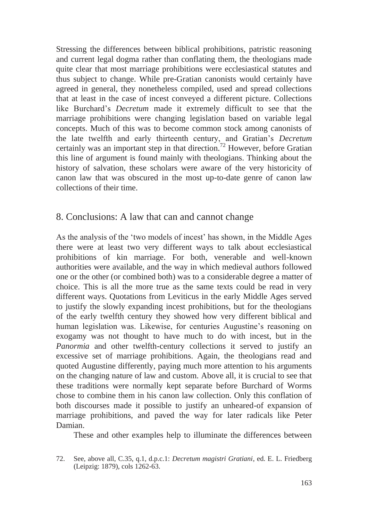Stressing the differences between biblical prohibitions, patristic reasoning and current legal dogma rather than conflating them, the theologians made quite clear that most marriage prohibitions were ecclesiastical statutes and thus subject to change. While pre-Gratian canonists would certainly have agreed in general, they nonetheless compiled, used and spread collections that at least in the case of incest conveyed a different picture. Collections like Burchard's *Decretum* made it extremely difficult to see that the marriage prohibitions were changing legislation based on variable legal concepts. Much of this was to become common stock among canonists of the late twelfth and early thirteenth century, and Gratian's *Decretum*  certainly was an important step in that direction.<sup>72</sup> However, before Gratian this line of argument is found mainly with theologians. Thinking about the history of salvation, these scholars were aware of the very historicity of canon law that was obscured in the most up-to-date genre of canon law collections of their time.

# 8. Conclusions: A law that can and cannot change

As the analysis of the 'two models of incest' has shown, in the Middle Ages there were at least two very different ways to talk about ecclesiastical prohibitions of kin marriage. For both, venerable and well-known authorities were available, and the way in which medieval authors followed one or the other (or combined both) was to a considerable degree a matter of choice. This is all the more true as the same texts could be read in very different ways. Quotations from Leviticus in the early Middle Ages served to justify the slowly expanding incest prohibitions, but for the theologians of the early twelfth century they showed how very different biblical and human legislation was. Likewise, for centuries Augustine's reasoning on exogamy was not thought to have much to do with incest, but in the *Panormia* and other twelfth-century collections it served to justify an excessive set of marriage prohibitions. Again, the theologians read and quoted Augustine differently, paying much more attention to his arguments on the changing nature of law and custom. Above all, it is crucial to see that these traditions were normally kept separate before Burchard of Worms chose to combine them in his canon law collection. Only this conflation of both discourses made it possible to justify an unheared-of expansion of marriage prohibitions, and paved the way for later radicals like Peter Damian.

These and other examples help to illuminate the differences between

<sup>72.</sup> See, above all, C.35, q.1, d.p.c.1: *Decretum magistri Gratiani*, ed. E. L. Friedberg (Leipzig: 1879), cols 1262-63.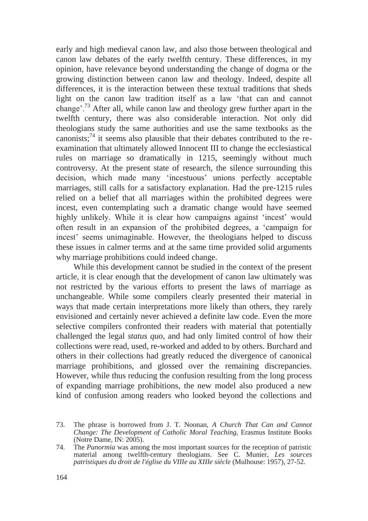early and high medieval canon law, and also those between theological and canon law debates of the early twelfth century. These differences, in my opinion, have relevance beyond understanding the change of dogma or the growing distinction between canon law and theology. Indeed, despite all differences, it is the interaction between these textual traditions that sheds light on the canon law tradition itself as a law 'that can and cannot change'.73 After all, while canon law and theology grew further apart in the twelfth century, there was also considerable interaction. Not only did theologians study the same authorities and use the same textbooks as the canonists; $^{74}$  it seems also plausible that their debates contributed to the reexamination that ultimately allowed Innocent III to change the ecclesiastical rules on marriage so dramatically in 1215, seemingly without much controversy. At the present state of research, the silence surrounding this decision, which made many 'incestuous' unions perfectly acceptable marriages, still calls for a satisfactory explanation. Had the pre-1215 rules relied on a belief that all marriages within the prohibited degrees were incest, even contemplating such a dramatic change would have seemed highly unlikely. While it is clear how campaigns against 'incest' would often result in an expansion of the prohibited degrees, a 'campaign for incest' seems unimaginable. However, the theologians helped to discuss these issues in calmer terms and at the same time provided solid arguments why marriage prohibitions could indeed change.

 While this development cannot be studied in the context of the present article, it is clear enough that the development of canon law ultimately was not restricted by the various efforts to present the laws of marriage as unchangeable. While some compilers clearly presented their material in ways that made certain interpretations more likely than others, they rarely envisioned and certainly never achieved a definite law code. Even the more selective compilers confronted their readers with material that potentially challenged the legal *status quo*, and had only limited control of how their collections were read, used, re-worked and added to by others. Burchard and others in their collections had greatly reduced the divergence of canonical marriage prohibitions, and glossed over the remaining discrepancies. However, while thus reducing the confusion resulting from the long process of expanding marriage prohibitions, the new model also produced a new kind of confusion among readers who looked beyond the collections and

<sup>73.</sup> The phrase is borrowed from J. T. Noonan, *A Church That Can and Cannot Change: The Development of Catholic Moral Teaching*, Erasmus Institute Books (Notre Dame, IN: 2005).

<sup>74.</sup> The *Panormia* was among the most important sources for the reception of patristic material among twelfth-century theologians. See C. Munier, *Les sources patristiques du droit de l'église du VIIIe au XIIIe siècle* (Mulhouse: 1957), 27-52.